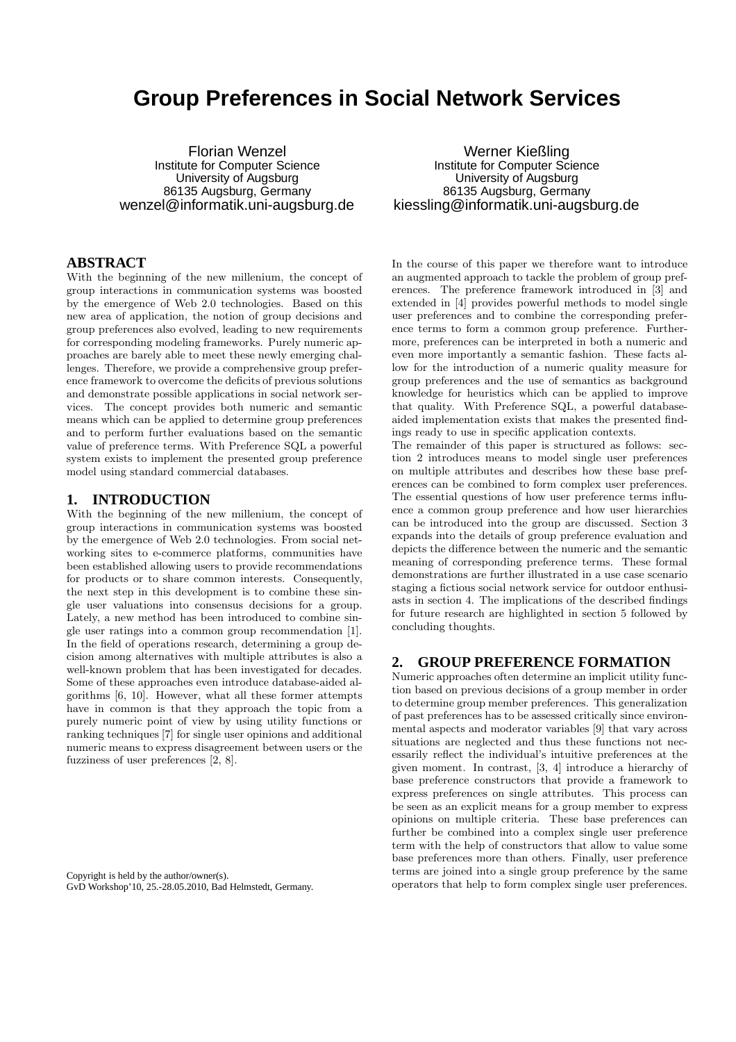# **Group Preferences in Social Network Services**

Florian Wenzel Institute for Computer Science University of Augsburg 86135 Augsburg, Germany wenzel@informatik.uni-augsburg.de

# **ABSTRACT**

With the beginning of the new millenium, the concept of group interactions in communication systems was boosted by the emergence of Web 2.0 technologies. Based on this new area of application, the notion of group decisions and group preferences also evolved, leading to new requirements for corresponding modeling frameworks. Purely numeric approaches are barely able to meet these newly emerging challenges. Therefore, we provide a comprehensive group preference framework to overcome the deficits of previous solutions and demonstrate possible applications in social network services. The concept provides both numeric and semantic means which can be applied to determine group preferences and to perform further evaluations based on the semantic value of preference terms. With Preference SQL a powerful system exists to implement the presented group preference model using standard commercial databases.

#### **1. INTRODUCTION**

With the beginning of the new millenium, the concept of group interactions in communication systems was boosted by the emergence of Web 2.0 technologies. From social networking sites to e-commerce platforms, communities have been established allowing users to provide recommendations for products or to share common interests. Consequently, the next step in this development is to combine these single user valuations into consensus decisions for a group. Lately, a new method has been introduced to combine single user ratings into a common group recommendation [1]. In the field of operations research, determining a group decision among alternatives with multiple attributes is also a well-known problem that has been investigated for decades. Some of these approaches even introduce database-aided algorithms [6, 10]. However, what all these former attempts have in common is that they approach the topic from a purely numeric point of view by using utility functions or ranking techniques [7] for single user opinions and additional numeric means to express disagreement between users or the fuzziness of user preferences [2, 8].

Copyright is held by the author/owner(s). GvD Workshop'10, 25.-28.05.2010, Bad Helmstedt, Germany.

Werner Kießling Institute for Computer Science University of Augsburg 86135 Augsburg, Germany kiessling@informatik.uni-augsburg.de

In the course of this paper we therefore want to introduce an augmented approach to tackle the problem of group preferences. The preference framework introduced in [3] and extended in [4] provides powerful methods to model single user preferences and to combine the corresponding preference terms to form a common group preference. Furthermore, preferences can be interpreted in both a numeric and even more importantly a semantic fashion. These facts allow for the introduction of a numeric quality measure for group preferences and the use of semantics as background knowledge for heuristics which can be applied to improve that quality. With Preference SQL, a powerful databaseaided implementation exists that makes the presented findings ready to use in specific application contexts.

The remainder of this paper is structured as follows: section 2 introduces means to model single user preferences on multiple attributes and describes how these base preferences can be combined to form complex user preferences. The essential questions of how user preference terms influence a common group preference and how user hierarchies can be introduced into the group are discussed. Section 3 expands into the details of group preference evaluation and depicts the difference between the numeric and the semantic meaning of corresponding preference terms. These formal demonstrations are further illustrated in a use case scenario staging a fictious social network service for outdoor enthusiasts in section 4. The implications of the described findings for future research are highlighted in section 5 followed by concluding thoughts.

## **2. GROUP PREFERENCE FORMATION**

Numeric approaches often determine an implicit utility function based on previous decisions of a group member in order to determine group member preferences. This generalization of past preferences has to be assessed critically since environmental aspects and moderator variables [9] that vary across situations are neglected and thus these functions not necessarily reflect the individual's intuitive preferences at the given moment. In contrast, [3, 4] introduce a hierarchy of base preference constructors that provide a framework to express preferences on single attributes. This process can be seen as an explicit means for a group member to express opinions on multiple criteria. These base preferences can further be combined into a complex single user preference term with the help of constructors that allow to value some base preferences more than others. Finally, user preference terms are joined into a single group preference by the same operators that help to form complex single user preferences.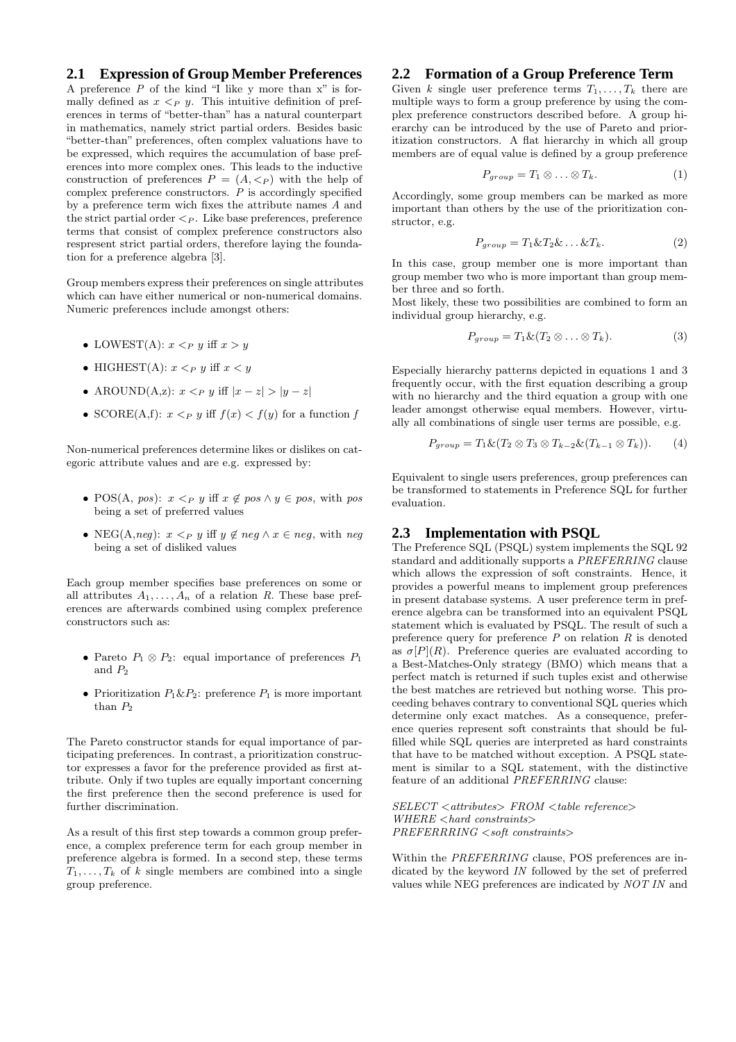## **2.1 Expression of Group Member Preferences**

A preference *P* of the kind "I like y more than x" is formally defined as  $x \leq_{P} y$ . This intuitive definition of preferences in terms of "better-than" has a natural counterpart in mathematics, namely strict partial orders. Besides basic "better-than" preferences, often complex valuations have to be expressed, which requires the accumulation of base preferences into more complex ones. This leads to the inductive construction of preferences  $P = (A, \langle P \rangle)$  with the help of complex preference constructors. *P* is accordingly specified by a preference term wich fixes the attribute names *A* and the strict partial order  $\leq_P$ . Like base preferences, preference terms that consist of complex preference constructors also respresent strict partial orders, therefore laying the foundation for a preference algebra [3].

Group members express their preferences on single attributes which can have either numerical or non-numerical domains. Numeric preferences include amongst others:

- LOWEST(A):  $x <_P y$  iff  $x > y$
- HIGHEST(A):  $x < p$  y iff  $x < y$
- AROUND(A,z):  $x \leq_P y$  iff  $|x-z| > |y-z|$
- SCORE(A,f):  $x <_P y$  iff  $f(x) < f(y)$  for a function f

Non-numerical preferences determine likes or dislikes on categoric attribute values and are e.g. expressed by:

- POS(A, *pos*):  $x \leq_P y$  iff  $x \notin pos \land y \in pos$ , with pos being a set of preferred values
- NEG(A,neg):  $x \leq_P y$  iff  $y \notin neg \land x \in neg$ , with neg being a set of disliked values

Each group member specifies base preferences on some or all attributes  $A_1, \ldots, A_n$  of a relation R. These base preferences are afterwards combined using complex preference constructors such as:

- Pareto  $P_1 \otimes P_2$ : equal importance of preferences  $P_1$ and  $P_2$
- Prioritization  $P_1 \& P_2$ : preference  $P_1$  is more important than  $P<sub>2</sub>$

The Pareto constructor stands for equal importance of participating preferences. In contrast, a prioritization constructor expresses a favor for the preference provided as first attribute. Only if two tuples are equally important concerning the first preference then the second preference is used for further discrimination.

As a result of this first step towards a common group preference, a complex preference term for each group member in preference algebra is formed. In a second step, these terms  $T_1, \ldots, T_k$  of *k* single members are combined into a single group preference.

### **2.2 Formation of a Group Preference Term**

Given *k* single user preference terms  $T_1, \ldots, T_k$  there are multiple ways to form a group preference by using the complex preference constructors described before. A group hierarchy can be introduced by the use of Pareto and prioritization constructors. A flat hierarchy in which all group members are of equal value is defined by a group preference

$$
P_{group} = T_1 \otimes \ldots \otimes T_k. \tag{1}
$$

Accordingly, some group members can be marked as more important than others by the use of the prioritization constructor, e.g.

$$
P_{group} = T_1 \& T_2 \& \dots \& T_k. \tag{2}
$$

In this case, group member one is more important than group member two who is more important than group member three and so forth.

Most likely, these two possibilities are combined to form an individual group hierarchy, e.g.

$$
P_{group} = T_1 \& (T_2 \otimes \ldots \otimes T_k). \tag{3}
$$

Especially hierarchy patterns depicted in equations 1 and 3 frequently occur, with the first equation describing a group with no hierarchy and the third equation a group with one leader amongst otherwise equal members. However, virtually all combinations of single user terms are possible, e.g.

$$
P_{group} = T_1 \& (T_2 \otimes T_3 \otimes T_{k-2} \& (T_{k-1} \otimes T_k)). \tag{4}
$$

Equivalent to single users preferences, group preferences can be transformed to statements in Preference SQL for further evaluation.

### **2.3 Implementation with PSQL**

The Preference SQL (PSQL) system implements the SQL 92 standard and additionally supports a *PREFERRING* clause which allows the expression of soft constraints. Hence, it provides a powerful means to implement group preferences in present database systems. A user preference term in preference algebra can be transformed into an equivalent PSQL statement which is evaluated by PSQL. The result of such a preference query for preference *P* on relation *R* is denoted as  $\sigma[P](R)$ . Preference queries are evaluated according to a Best-Matches-Only strategy (BMO) which means that a perfect match is returned if such tuples exist and otherwise the best matches are retrieved but nothing worse. This proceeding behaves contrary to conventional SQL queries which determine only exact matches. As a consequence, preference queries represent soft constraints that should be fulfilled while SQL queries are interpreted as hard constraints that have to be matched without exception. A PSQL statement is similar to a SQL statement, with the distinctive feature of an additional *PREFERRING* clause:

*SELECT* <*attributes*> *FROM* <*table reference*> *WHERE* <*hard constraints*> *PREFERRRING* <*soft constraints*>

Within the *PREFERRING* clause, POS preferences are indicated by the keyword *IN* followed by the set of preferred values while NEG preferences are indicated by *NOT IN* and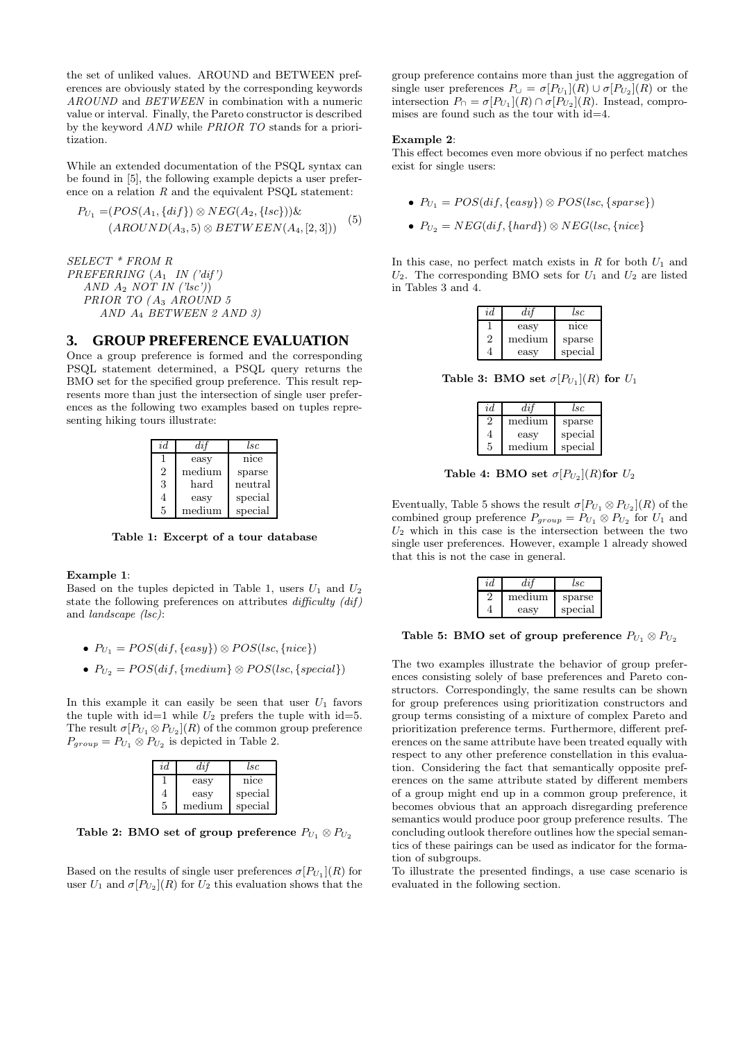the set of unliked values. AROUND and BETWEEN preferences are obviously stated by the corresponding keywords *AROUND* and *BETWEEN* in combination with a numeric value or interval. Finally, the Pareto constructor is described by the keyword *AND* while *PRIOR TO* stands for a prioritization.

While an extended documentation of the PSQL syntax can be found in [5], the following example depicts a user preference on a relation  $R$  and the equivalent PSQL statement:

$$
P_{U_1} = (POS(A_1, \{diff\}) \otimes NEG(A_2, \{lsc\}))\&
$$

$$
(AROUND(A_3, 5) \otimes BETWEEN(A_4, [2, 3]))
$$
<sup>(5)</sup>

*SELECT \* FROM R PREFERRING* (A<sup>1</sup> *IN ('dif ') AND* A<sup>2</sup> *NOT IN ('lsc')*) *PRIOR TO (* A<sup>3</sup> *AROUND 5 AND* A<sup>4</sup> *BETWEEN 2 AND 3)*

#### **3. GROUP PREFERENCE EVALUATION**

Once a group preference is formed and the corresponding PSQL statement determined, a PSQL query returns the BMO set for the specified group preference. This result represents more than just the intersection of single user preferences as the following two examples based on tuples representing hiking tours illustrate:

| id             | $di\ddot{}$ | lsc     |
|----------------|-------------|---------|
|                | easy        | nice    |
| $\overline{2}$ | medium      | sparse  |
| 3              | hard        | neutral |
| 4              | easy        | special |
| 5              | medium      | special |

Table 1: Excerpt of a tour database

#### Example 1:

Based on the tuples depicted in Table 1, users  $U_1$  and  $U_2$ state the following preferences on attributes *difficulty (dif )* and *landscape (lsc)*:

- $P_{U_1} = POS(dif, \{easy\}) \otimes POS(lsc, \{nice\})$
- $P_{U_2} = POS(dif, \{medium\} \otimes POS(lsc, \{special\})$

In this example it can easily be seen that user  $U_1$  favors the tuple with id=1 while  $U_2$  prefers the tuple with id=5. The result  $\sigma[P_{U_1} \otimes P_{U_2}](R)$  of the common group preference  $P_{group} = P_{U_1} \otimes P_{U_2}$  is depicted in Table 2.

| id | $_{dif}$ | lsc.    |
|----|----------|---------|
|    | easy     | nice    |
| 4  | easy     | special |
| 5  | medium   | special |

Table 2: BMO set of group preference  $P_{U_1} \otimes P_{U_2}$ 

Based on the results of single user preferences  $\sigma[P_{U_1}](R)$  for user  $U_1$  and  $\sigma[P_{U_2}](R)$  for  $U_2$  this evaluation shows that the group preference contains more than just the aggregation of single user preferences  $P_{\cup} = \sigma[P_{U_1}](R) \cup \sigma[P_{U_2}](R)$  or the intersection  $P_{\cap} = \sigma[P_{U_1}](R) \cap \sigma[P_{U_2}](R)$ . Instead, compromises are found such as the tour with id=4.

#### Example 2:

This effect becomes even more obvious if no perfect matches exist for single users:

- $P_{U_1} = POS(dif, \{easy\}) \otimes POS(lsc, \{sparse\})$
- $P_{U_2} = NEG(dif, \{hard\}) \otimes NEG(lsc, \{nice\})$

In this case, no perfect match exists in  $R$  for both  $U_1$  and  $U_2$ . The corresponding BMO sets for  $U_1$  and  $U_2$  are listed in Tables 3 and 4.

| id | dif    | lsc     |
|----|--------|---------|
|    | easy   | nice    |
| '2 | medium | sparse  |
|    | easy   | special |

Table 3: BMO set  $\sigma[P_{U_1}](R)$  for  $U_1$ 

| id | dif    | lsc     |
|----|--------|---------|
| 2  | medium | sparse  |
| 4  | easy   | special |
| 5  | medium | special |

Table 4: BMO set  $\sigma[P_{U_2}](R)$ for  $U_2$ 

Eventually, Table 5 shows the result  $\sigma[P_{U_1} \otimes P_{U_2}](R)$  of the combined group preference  $P_{group} = P_{U_1} \otimes P_{U_2}$  for  $U_1$  and  $U_2$  which in this case is the intersection between the two single user preferences. However, example 1 already showed that this is not the case in general.

| id | dit    | l.sc    |
|----|--------|---------|
|    | medium | sparse  |
|    | easy   | special |

Table 5: BMO set of group preference  $P_{U_1} \otimes P_{U_2}$ 

The two examples illustrate the behavior of group preferences consisting solely of base preferences and Pareto constructors. Correspondingly, the same results can be shown for group preferences using prioritization constructors and group terms consisting of a mixture of complex Pareto and prioritization preference terms. Furthermore, different preferences on the same attribute have been treated equally with respect to any other preference constellation in this evaluation. Considering the fact that semantically opposite preferences on the same attribute stated by different members of a group might end up in a common group preference, it becomes obvious that an approach disregarding preference semantics would produce poor group preference results. The concluding outlook therefore outlines how the special semantics of these pairings can be used as indicator for the formation of subgroups.

To illustrate the presented findings, a use case scenario is evaluated in the following section.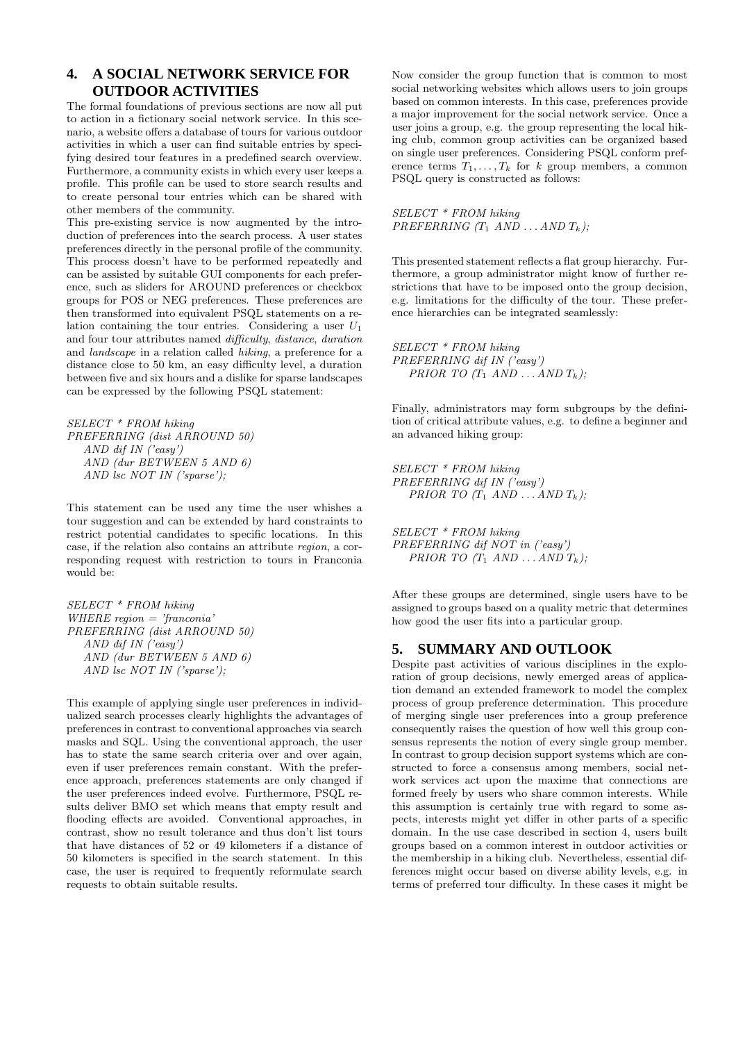# **4. A SOCIAL NETWORK SERVICE FOR OUTDOOR ACTIVITIES**

The formal foundations of previous sections are now all put to action in a fictionary social network service. In this scenario, a website offers a database of tours for various outdoor activities in which a user can find suitable entries by specifying desired tour features in a predefined search overview. Furthermore, a community exists in which every user keeps a profile. This profile can be used to store search results and to create personal tour entries which can be shared with other members of the community.

This pre-existing service is now augmented by the introduction of preferences into the search process. A user states preferences directly in the personal profile of the community. This process doesn't have to be performed repeatedly and can be assisted by suitable GUI components for each preference, such as sliders for AROUND preferences or checkbox groups for POS or NEG preferences. These preferences are then transformed into equivalent PSQL statements on a relation containing the tour entries. Considering a user  $U_1$ and four tour attributes named *difficulty*, *distance*, *duration* and *landscape* in a relation called *hiking*, a preference for a distance close to 50 km, an easy difficulty level, a duration between five and six hours and a dislike for sparse landscapes can be expressed by the following PSQL statement:

```
SELECT * FROM hiking
PREFERRING (dist ARROUND 50)
  AND dif IN ('easy')
  AND (dur BETWEEN 5 AND 6)
  AND lsc NOT IN ('sparse');
```
This statement can be used any time the user whishes a tour suggestion and can be extended by hard constraints to restrict potential candidates to specific locations. In this case, if the relation also contains an attribute *region*, a corresponding request with restriction to tours in Franconia would be:

*SELECT \* FROM hiking WHERE region = 'franconia' PREFERRING (dist ARROUND 50) AND dif IN ('easy') AND (dur BETWEEN 5 AND 6) AND lsc NOT IN ('sparse');*

This example of applying single user preferences in individualized search processes clearly highlights the advantages of preferences in contrast to conventional approaches via search masks and SQL. Using the conventional approach, the user has to state the same search criteria over and over again, even if user preferences remain constant. With the preference approach, preferences statements are only changed if the user preferences indeed evolve. Furthermore, PSQL results deliver BMO set which means that empty result and flooding effects are avoided. Conventional approaches, in contrast, show no result tolerance and thus don't list tours that have distances of 52 or 49 kilometers if a distance of 50 kilometers is specified in the search statement. In this case, the user is required to frequently reformulate search requests to obtain suitable results.

Now consider the group function that is common to most social networking websites which allows users to join groups based on common interests. In this case, preferences provide a major improvement for the social network service. Once a user joins a group, e.g. the group representing the local hiking club, common group activities can be organized based on single user preferences. Considering PSQL conform preference terms  $T_1, \ldots, T_k$  for k group members, a common PSQL query is constructed as follows:

*SELECT \* FROM hiking PREFERRING*  $(T_1$  *AND ... AND*  $T_k$ *)*;

This presented statement reflects a flat group hierarchy. Furthermore, a group administrator might know of further restrictions that have to be imposed onto the group decision, e.g. limitations for the difficulty of the tour. These preference hierarchies can be integrated seamlessly:

*SELECT \* FROM hiking PREFERRING dif IN ('easy') PRIOR TO*  $(T_1$  *AND*  $\ldots$  *AND*  $T_k$ *)*;

Finally, administrators may form subgroups by the definition of critical attribute values, e.g. to define a beginner and an advanced hiking group:

*SELECT \* FROM hiking PREFERRING dif IN ('easy') PRIOR TO (T<sub>1</sub> AND*  $\ldots$  *<i>AND T<sub>k</sub>*);

*SELECT \* FROM hiking PREFERRING dif NOT in ('easy') PRIOR TO*  $(T_1$  *AND ... AND*  $T_k$ *);* 

After these groups are determined, single users have to be assigned to groups based on a quality metric that determines how good the user fits into a particular group.

### **5. SUMMARY AND OUTLOOK**

Despite past activities of various disciplines in the exploration of group decisions, newly emerged areas of application demand an extended framework to model the complex process of group preference determination. This procedure of merging single user preferences into a group preference consequently raises the question of how well this group consensus represents the notion of every single group member. In contrast to group decision support systems which are constructed to force a consensus among members, social network services act upon the maxime that connections are formed freely by users who share common interests. While this assumption is certainly true with regard to some aspects, interests might yet differ in other parts of a specific domain. In the use case described in section 4, users built groups based on a common interest in outdoor activities or the membership in a hiking club. Nevertheless, essential differences might occur based on diverse ability levels, e.g. in terms of preferred tour difficulty. In these cases it might be